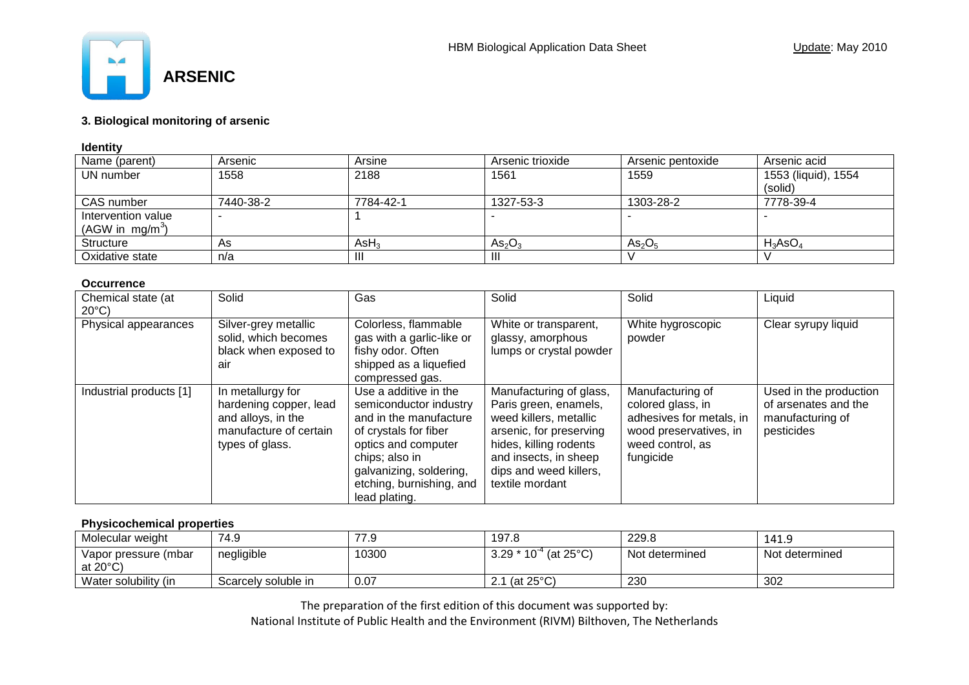

# **3. Biological monitoring of arsenic**

## **Identity**

| Name (parent)                            | Arsenic   | Arsine           | Arsenic trioxide               | Arsenic pentoxide              | Arsenic acid                   |
|------------------------------------------|-----------|------------------|--------------------------------|--------------------------------|--------------------------------|
| UN number                                | 1558      | 2188             | 1561                           | 1559                           | 1553 (liquid), 1554<br>(solid) |
| CAS number                               | 7440-38-2 | 7784-42-1        | 1327-53-3                      | 1303-28-2                      | 7778-39-4                      |
| Intervention value<br>(AGW in $mg/m^3$ ) |           |                  |                                |                                |                                |
| Structure                                | As        | AsH <sub>3</sub> | As <sub>2</sub> O <sub>3</sub> | As <sub>2</sub> O <sub>5</sub> | $H_3AsO_4$                     |
| Oxidative state                          | n/a       | Ш                | -111                           |                                |                                |

#### **Occurrence**

| Chemical state (at<br>$20^{\circ}$ C) | Solid                                                                                                                                                                                               | Gas                                                                                                                                                                                                                 | Solid                                                                                                                                                                                                 | Solid                                                                                                                        | Liquid                                                                           |
|---------------------------------------|-----------------------------------------------------------------------------------------------------------------------------------------------------------------------------------------------------|---------------------------------------------------------------------------------------------------------------------------------------------------------------------------------------------------------------------|-------------------------------------------------------------------------------------------------------------------------------------------------------------------------------------------------------|------------------------------------------------------------------------------------------------------------------------------|----------------------------------------------------------------------------------|
| Physical appearances                  | Colorless, flammable<br>Silver-grey metallic<br>solid, which becomes<br>gas with a garlic-like or<br>black when exposed to<br>fishy odor. Often<br>shipped as a liquefied<br>air<br>compressed gas. |                                                                                                                                                                                                                     | White or transparent,<br>glassy, amorphous<br>lumps or crystal powder                                                                                                                                 | White hygroscopic<br>powder                                                                                                  | Clear syrupy liquid                                                              |
| Industrial products [1]               | In metallurgy for<br>hardening copper, lead<br>and alloys, in the<br>manufacture of certain<br>types of glass.                                                                                      | Use a additive in the<br>semiconductor industry<br>and in the manufacture<br>of crystals for fiber<br>optics and computer<br>chips; also in<br>galvanizing, soldering,<br>etching, burnishing, and<br>lead plating. | Manufacturing of glass,<br>Paris green, enamels,<br>weed killers, metallic<br>arsenic, for preserving<br>hides, killing rodents<br>and insects, in sheep<br>dips and weed killers,<br>textile mordant | Manufacturing of<br>colored glass, in<br>adhesives for metals, in<br>wood preservatives, in<br>weed control, as<br>fungicide | Used in the production<br>of arsenates and the<br>manufacturing of<br>pesticides |

## **Physicochemical properties**

| Molecular weight                           | 74.9                | 77.9  | 197.8                                              | 229.8          | 141.9          |
|--------------------------------------------|---------------------|-------|----------------------------------------------------|----------------|----------------|
| Vapor pressure (mbar<br>at $20^{\circ}$ C) | negligible          | 10300 | (at $25^{\circ}$ C)<br>$3.29 * 10^{-4}$            | Not determined | Not determined |
| Water solubility (in                       | Scarcely soluble in | 0.07  | $\dot{\ }$ (at 25 $\rm ^{\circ} C$ )<br><u>. .</u> | 230            | 302            |

The preparation of the first edition of this document was supported by: National Institute of Public Health and the Environment (RIVM) Bilthoven, The Netherlands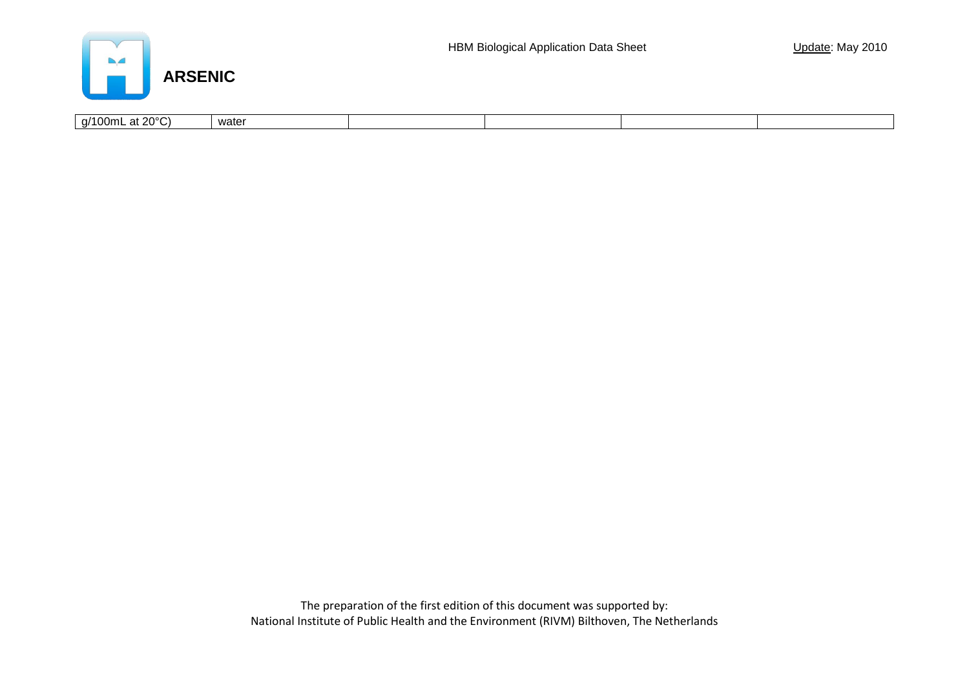

| ∖י∩∘∩ר |                                                                  |       |  |  |
|--------|------------------------------------------------------------------|-------|--|--|
| . v    | q/100mL<br>$\lambda$<br>$\overline{\phantom{a}}$<br>$\mathbf{a}$ | water |  |  |

The preparation of the first edition of this document was supported by: National Institute of Public Health and the Environment (RIVM) Bilthoven, The Netherlands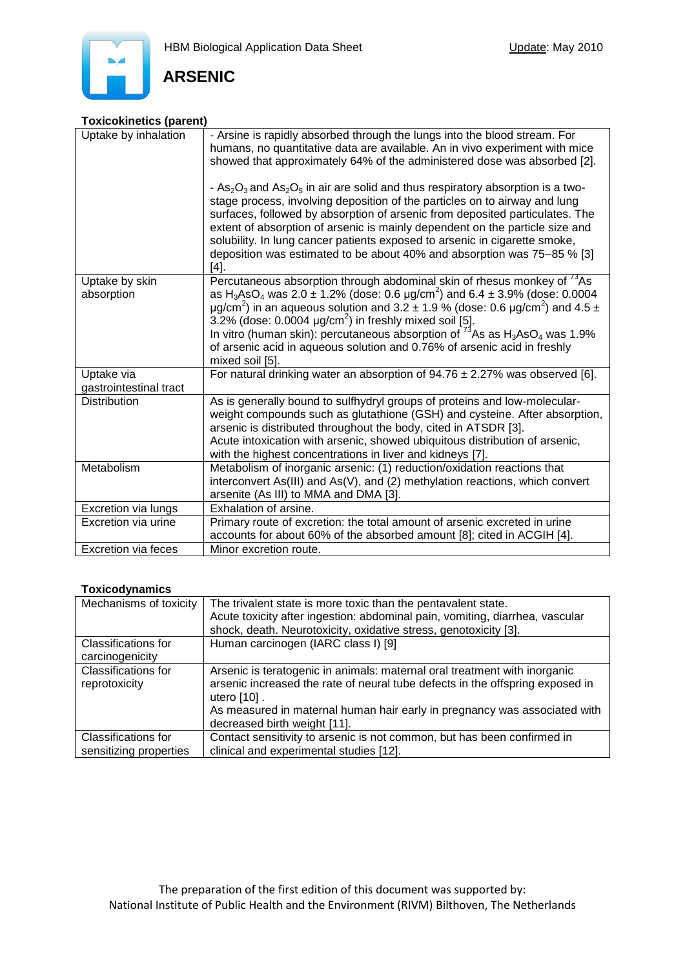



## **Toxicokinetics (parent)**

| Uptake by inhalation                 | - Arsine is rapidly absorbed through the lungs into the blood stream. For<br>humans, no quantitative data are available. An in vivo experiment with mice<br>showed that approximately 64% of the administered dose was absorbed [2].<br>- $As_2O_3$ and $As_2O_5$ in air are solid and thus respiratory absorption is a two-<br>stage process, involving deposition of the particles on to airway and lung<br>surfaces, followed by absorption of arsenic from deposited particulates. The<br>extent of absorption of arsenic is mainly dependent on the particle size and<br>solubility. In lung cancer patients exposed to arsenic in cigarette smoke,<br>deposition was estimated to be about 40% and absorption was 75–85 % [3]<br>$[4]$ . |
|--------------------------------------|------------------------------------------------------------------------------------------------------------------------------------------------------------------------------------------------------------------------------------------------------------------------------------------------------------------------------------------------------------------------------------------------------------------------------------------------------------------------------------------------------------------------------------------------------------------------------------------------------------------------------------------------------------------------------------------------------------------------------------------------|
| Uptake by skin<br>absorption         | Percutaneous absorption through abdominal skin of rhesus monkey of <sup>73</sup> As<br>as H <sub>3</sub> AsO <sub>4</sub> was 2.0 $\pm$ 1.2% (dose: 0.6 µg/cm <sup>2</sup> ) and 6.4 $\pm$ 3.9% (dose: 0.0004<br>$\mu$ g/cm <sup>2</sup> ) in an aqueous solution and 3.2 ± 1.9 % (dose: 0.6 $\mu$ g/cm <sup>2</sup> ) and 4.5 ±<br>3.2% (dose: 0.0004 $\mu$ g/cm <sup>2</sup> ) in freshly mixed soil [5].<br>In vitro (human skin): percutaneous absorption of <sup>73</sup> As as $H_3AsO_4$ was 1.9%<br>of arsenic acid in aqueous solution and 0.76% of arsenic acid in freshly<br>mixed soil [5].                                                                                                                                        |
| Uptake via<br>gastrointestinal tract | For natural drinking water an absorption of $94.76 \pm 2.27\%$ was observed [6].                                                                                                                                                                                                                                                                                                                                                                                                                                                                                                                                                                                                                                                               |
| <b>Distribution</b>                  | As is generally bound to sulfhydryl groups of proteins and low-molecular-<br>weight compounds such as glutathione (GSH) and cysteine. After absorption,<br>arsenic is distributed throughout the body, cited in ATSDR [3].<br>Acute intoxication with arsenic, showed ubiquitous distribution of arsenic,<br>with the highest concentrations in liver and kidneys [7].                                                                                                                                                                                                                                                                                                                                                                         |
| Metabolism                           | Metabolism of inorganic arsenic: (1) reduction/oxidation reactions that<br>interconvert As(III) and As(V), and (2) methylation reactions, which convert<br>arsenite (As III) to MMA and DMA [3].                                                                                                                                                                                                                                                                                                                                                                                                                                                                                                                                               |
| Excretion via lungs                  | Exhalation of arsine.                                                                                                                                                                                                                                                                                                                                                                                                                                                                                                                                                                                                                                                                                                                          |
| Excretion via urine                  | Primary route of excretion: the total amount of arsenic excreted in urine<br>accounts for about 60% of the absorbed amount [8]; cited in ACGIH [4].                                                                                                                                                                                                                                                                                                                                                                                                                                                                                                                                                                                            |
| <b>Excretion via feces</b>           | Minor excretion route.                                                                                                                                                                                                                                                                                                                                                                                                                                                                                                                                                                                                                                                                                                                         |

# **Toxicodynamics**

| Mechanisms of toxicity                      | The trivalent state is more toxic than the pentavalent state.                                                                                                                |  |  |
|---------------------------------------------|------------------------------------------------------------------------------------------------------------------------------------------------------------------------------|--|--|
|                                             | Acute toxicity after ingestion: abdominal pain, vomiting, diarrhea, vascular                                                                                                 |  |  |
|                                             | shock, death. Neurotoxicity, oxidative stress, genotoxicity [3].                                                                                                             |  |  |
| <b>Classifications for</b>                  | Human carcinogen (IARC class I) [9]                                                                                                                                          |  |  |
| carcinogenicity                             |                                                                                                                                                                              |  |  |
| <b>Classifications for</b><br>reprotoxicity | Arsenic is teratogenic in animals: maternal oral treatment with inorganic<br>arsenic increased the rate of neural tube defects in the offspring exposed in<br>utero $[10]$ . |  |  |
|                                             | As measured in maternal human hair early in pregnancy was associated with<br>decreased birth weight [11].                                                                    |  |  |
| <b>Classifications for</b>                  | Contact sensitivity to arsenic is not common, but has been confirmed in                                                                                                      |  |  |
| sensitizing properties                      | clinical and experimental studies [12].                                                                                                                                      |  |  |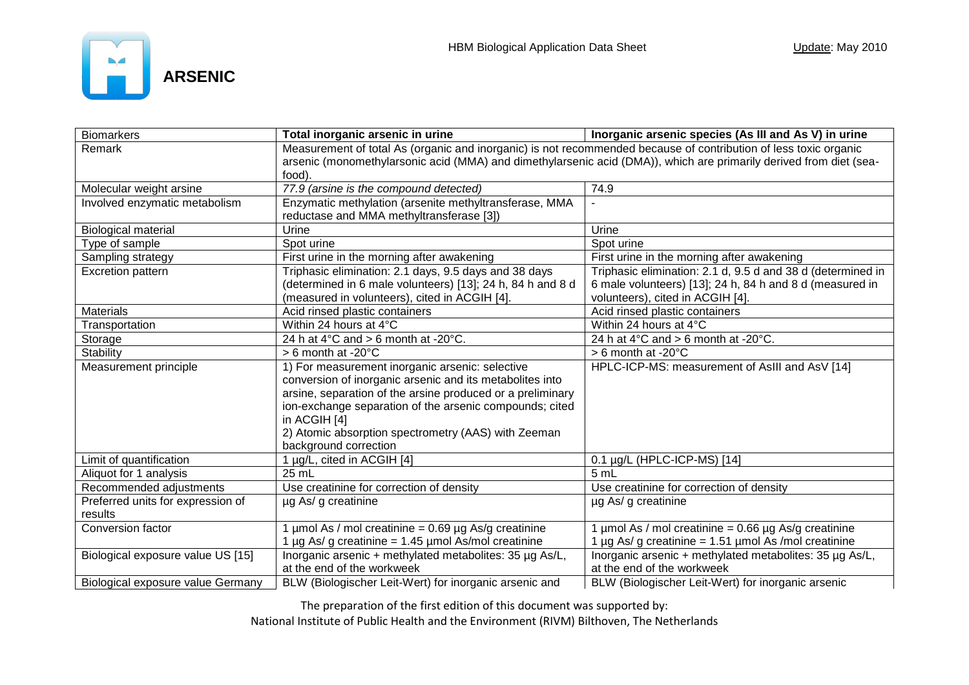

| <b>Biomarkers</b>                 | Total inorganic arsenic in urine                                                                                   | Inorganic arsenic species (As III and As V) in urine        |  |  |
|-----------------------------------|--------------------------------------------------------------------------------------------------------------------|-------------------------------------------------------------|--|--|
| Remark                            | Measurement of total As (organic and inorganic) is not recommended because of contribution of less toxic organic   |                                                             |  |  |
|                                   | arsenic (monomethylarsonic acid (MMA) and dimethylarsenic acid (DMA)), which are primarily derived from diet (sea- |                                                             |  |  |
|                                   | food).                                                                                                             |                                                             |  |  |
| Molecular weight arsine           | 77.9 (arsine is the compound detected)                                                                             | 74.9                                                        |  |  |
| Involved enzymatic metabolism     | Enzymatic methylation (arsenite methyltransferase, MMA                                                             |                                                             |  |  |
|                                   | reductase and MMA methyltransferase [3])                                                                           |                                                             |  |  |
| <b>Biological material</b>        | Urine                                                                                                              | Urine                                                       |  |  |
| Type of sample                    | Spot urine                                                                                                         | Spot urine                                                  |  |  |
| Sampling strategy                 | First urine in the morning after awakening                                                                         | First urine in the morning after awakening                  |  |  |
| Excretion pattern                 | Triphasic elimination: 2.1 days, 9.5 days and 38 days                                                              | Triphasic elimination: 2.1 d, 9.5 d and 38 d (determined in |  |  |
|                                   | (determined in 6 male volunteers) [13]; 24 h, 84 h and 8 d                                                         | 6 male volunteers) [13]; 24 h, 84 h and 8 d (measured in    |  |  |
|                                   | (measured in volunteers), cited in ACGIH [4].                                                                      | volunteers), cited in ACGIH [4].                            |  |  |
| <b>Materials</b>                  | Acid rinsed plastic containers                                                                                     | Acid rinsed plastic containers                              |  |  |
| Transportation                    | Within 24 hours at 4°C                                                                                             | Within 24 hours at 4°C                                      |  |  |
| Storage                           | 24 h at $4^{\circ}$ C and > 6 month at -20 $^{\circ}$ C.                                                           | 24 h at $4^{\circ}$ C and > 6 month at -20 $^{\circ}$ C.    |  |  |
| Stability                         | > 6 month at -20°C                                                                                                 | $> 6$ month at -20 $^{\circ}$ C                             |  |  |
| Measurement principle             | 1) For measurement inorganic arsenic: selective                                                                    | HPLC-ICP-MS: measurement of AsIII and AsV [14]              |  |  |
|                                   | conversion of inorganic arsenic and its metabolites into                                                           |                                                             |  |  |
|                                   | arsine, separation of the arsine produced or a preliminary                                                         |                                                             |  |  |
|                                   | ion-exchange separation of the arsenic compounds; cited                                                            |                                                             |  |  |
|                                   | in ACGIH [4]                                                                                                       |                                                             |  |  |
|                                   | 2) Atomic absorption spectrometry (AAS) with Zeeman                                                                |                                                             |  |  |
|                                   | background correction                                                                                              |                                                             |  |  |
| Limit of quantification           | 1 µg/L, cited in ACGIH [4]                                                                                         | 0.1 µg/L (HPLC-ICP-MS) [14]                                 |  |  |
| Aliquot for 1 analysis            | 25 mL                                                                                                              | 5 mL                                                        |  |  |
| Recommended adjustments           | Use creatinine for correction of density                                                                           | Use creatinine for correction of density                    |  |  |
| Preferred units for expression of | µg As/ g creatinine                                                                                                | µg As/ g creatinine                                         |  |  |
| results                           |                                                                                                                    |                                                             |  |  |
| Conversion factor                 | 1 µmol As / mol creatinine = $0.69$ µg As/g creatinine                                                             | 1 µmol As / mol creatinine = $0.66$ µg As/g creatinine      |  |  |
|                                   | 1 µg As/ g creatinine = $1.45$ µmol As/mol creatinine                                                              | 1 µg As/ g creatinine = $1.51$ µmol As /mol creatinine      |  |  |
| Biological exposure value US [15] | Inorganic arsenic + methylated metabolites: 35 µg As/L,                                                            | Inorganic arsenic + methylated metabolites: 35 µg As/L,     |  |  |
|                                   | at the end of the workweek                                                                                         | at the end of the workweek                                  |  |  |
| Biological exposure value Germany | BLW (Biologischer Leit-Wert) for inorganic arsenic and                                                             | BLW (Biologischer Leit-Wert) for inorganic arsenic          |  |  |

The preparation of the first edition of this document was supported by:

National Institute of Public Health and the Environment (RIVM) Bilthoven, The Netherlands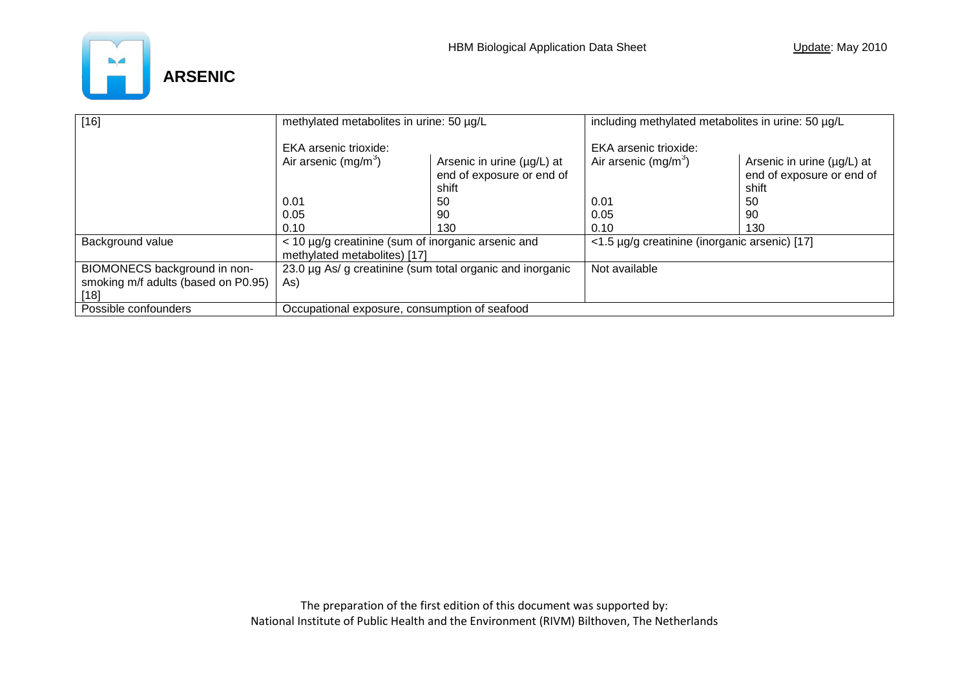

| $[16]$                              | methylated metabolites in urine: 50 µg/L                                                        |     | including methylated metabolites in urine: 50 µg/L |                                                                  |
|-------------------------------------|-------------------------------------------------------------------------------------------------|-----|----------------------------------------------------|------------------------------------------------------------------|
|                                     | <b>EKA</b> arsenic trioxide:                                                                    |     | EKA arsenic trioxide:                              |                                                                  |
|                                     | Air arsenic $(mg/m^3)$<br>Arsenic in urine $(\mu g/L)$ at<br>end of exposure or end of<br>shift |     | Air arsenic $(mg/m3)$                              | Arsenic in urine (µg/L) at<br>end of exposure or end of<br>shift |
|                                     | 0.01                                                                                            | 50  | 0.01                                               | 50                                                               |
|                                     | 0.05                                                                                            | 90  | 0.05                                               | 90                                                               |
|                                     | 0.10                                                                                            | 130 | 0.10                                               | 130                                                              |
| Background value                    | < 10 µg/g creatinine (sum of inorganic arsenic and<br>methylated metabolites) [17]              |     | <1.5 µg/g creatinine (inorganic arsenic) [17]      |                                                                  |
| BIOMONECS background in non-        | 23.0 µg As/ g creatinine (sum total organic and inorganic                                       |     | Not available                                      |                                                                  |
| smoking m/f adults (based on P0.95) | As)                                                                                             |     |                                                    |                                                                  |
| [18]                                |                                                                                                 |     |                                                    |                                                                  |
| Possible confounders                | Occupational exposure, consumption of seafood                                                   |     |                                                    |                                                                  |